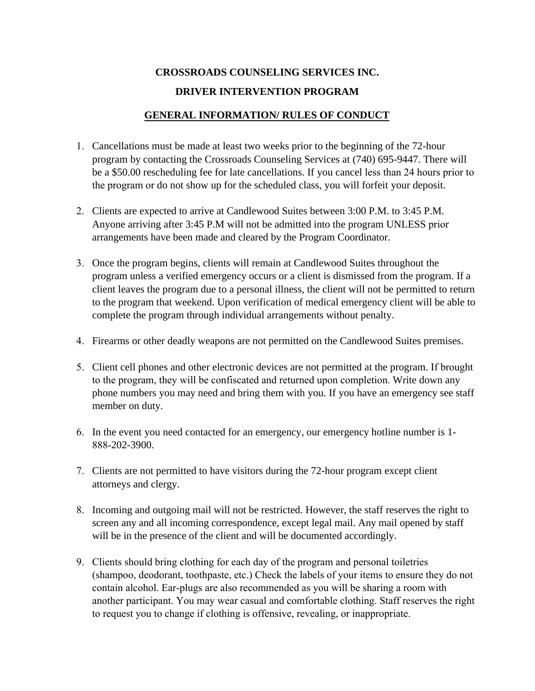# **CROSSROADS COUNSELING SERVICES INC. DRIVER INTERVENTION PROGRAM**

## **GENERAL INFORMATION/ RULES OF CONDUCT**

- 1. Cancellations must be made at least two weeks prior to the beginning of the 72-hour program by contacting the Crossroads Counseling Services at (740) 695-9447. There will be a \$50.00 rescheduling fee for late cancellations. If you cancel less than 24 hours prior to the program or do not show up for the scheduled class, you will forfeit your deposit.
- 2. Clients are expected to arrive at Candlewood Suites between 3:00 P.M. to 3:45 P.M. Anyone arriving after 3:45 P.M will not be admitted into the program UNLESS prior arrangements have been made and cleared by the Program Coordinator.
- 3. Once the program begins, clients will remain at Candlewood Suites throughout the program unless a verified emergency occurs or a client is dismissed from the program. If a client leaves the program due to a personal illness, the client will not be permitted to return to the program that weekend. Upon verification of medical emergency client will be able to complete the program through individual arrangements without penalty.
- 4. Firearms or other deadly weapons are not permitted on the Candlewood Suites premises.
- 5. Client cell phones and other electronic devices are not permitted at the program. If brought to the program, they will be confiscated and returned upon completion. Write down any phone numbers you may need and bring them with you. If you have an emergency see staff member on duty.
- 6. In the event you need contacted for an emergency, our emergency hotline number is 1- 888-202-3900.
- 7. Clients are not permitted to have visitors during the 72-hour program except client attorneys and clergy.
- 8. Incoming and outgoing mail will not be restricted. However, the staff reserves the right to screen any and all incoming correspondence, except legal mail. Any mail opened by staff will be in the presence of the client and will be documented accordingly.
- 9. Clients should bring clothing for each day of the program and personal toiletries (shampoo, deodorant, toothpaste, etc.) Check the labels of your items to ensure they do not contain alcohol. Ear-plugs are also recommended as you will be sharing a room with another participant. You may wear casual and comfortable clothing. Staff reserves the right to request you to change if clothing is offensive, revealing, or inappropriate.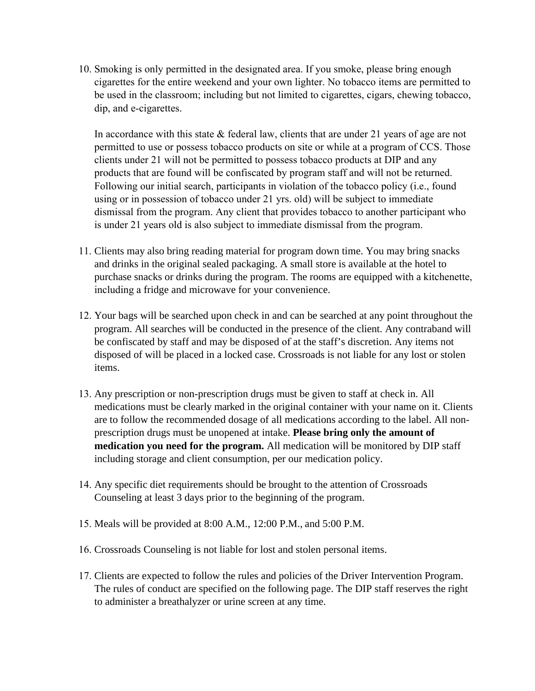10. Smoking is only permitted in the designated area. If you smoke, please bring enough cigarettes for the entire weekend and your own lighter. No tobacco items are permitted to be used in the classroom; including but not limited to cigarettes, cigars, chewing tobacco, dip, and e-cigarettes.

In accordance with this state  $&$  federal law, clients that are under 21 years of age are not permitted to use or possess tobacco products on site or while at a program of CCS. Those clients under 21 will not be permitted to possess tobacco products at DIP and any products that are found will be confiscated by program staff and will not be returned. Following our initial search, participants in violation of the tobacco policy (i.e., found using or in possession of tobacco under 21 yrs. old) will be subject to immediate dismissal from the program. Any client that provides tobacco to another participant who is under 21 years old is also subject to immediate dismissal from the program.

- 11. Clients may also bring reading material for program down time. You may bring snacks and drinks in the original sealed packaging. A small store is available at the hotel to purchase snacks or drinks during the program. The rooms are equipped with a kitchenette, including a fridge and microwave for your convenience.
- 12. Your bags will be searched upon check in and can be searched at any point throughout the program. All searches will be conducted in the presence of the client. Any contraband will be confiscated by staff and may be disposed of at the staff's discretion. Any items not disposed of will be placed in a locked case. Crossroads is not liable for any lost or stolen items.
- 13. Any prescription or non-prescription drugs must be given to staff at check in. All medications must be clearly marked in the original container with your name on it. Clients are to follow the recommended dosage of all medications according to the label. All nonprescription drugs must be unopened at intake. **Please bring only the amount of medication you need for the program.** All medication will be monitored by DIP staff including storage and client consumption, per our medication policy.
- 14. Any specific diet requirements should be brought to the attention of Crossroads Counseling at least 3 days prior to the beginning of the program.
- 15. Meals will be provided at 8:00 A.M., 12:00 P.M., and 5:00 P.M.
- 16. Crossroads Counseling is not liable for lost and stolen personal items.
- 17. Clients are expected to follow the rules and policies of the Driver Intervention Program. The rules of conduct are specified on the following page. The DIP staff reserves the right to administer a breathalyzer or urine screen at any time.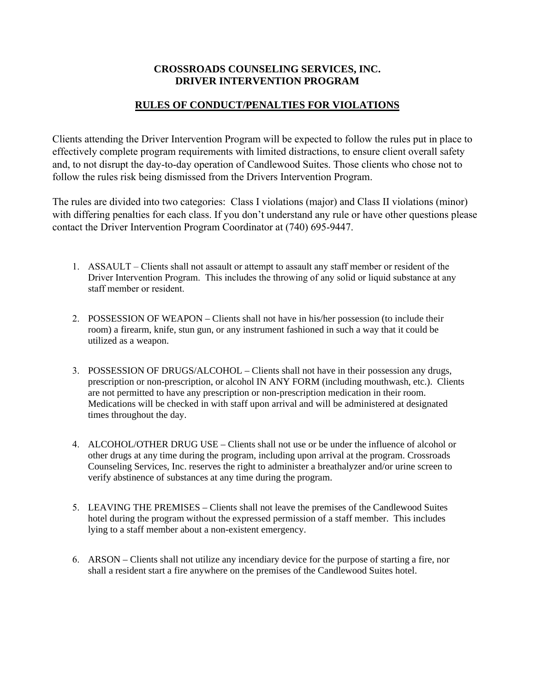#### **CROSSROADS COUNSELING SERVICES, INC. DRIVER INTERVENTION PROGRAM**

## **RULES OF CONDUCT/PENALTIES FOR VIOLATIONS**

Clients attending the Driver Intervention Program will be expected to follow the rules put in place to effectively complete program requirements with limited distractions, to ensure client overall safety and, to not disrupt the day-to-day operation of Candlewood Suites. Those clients who chose not to follow the rules risk being dismissed from the Drivers Intervention Program.

The rules are divided into two categories: Class I violations (major) and Class II violations (minor) with differing penalties for each class. If you don't understand any rule or have other questions please contact the Driver Intervention Program Coordinator at (740) 695-9447.

- 1. ASSAULT Clients shall not assault or attempt to assault any staff member or resident of the Driver Intervention Program. This includes the throwing of any solid or liquid substance at any staff member or resident.
- 2. POSSESSION OF WEAPON Clients shall not have in his/her possession (to include their room) a firearm, knife, stun gun, or any instrument fashioned in such a way that it could be utilized as a weapon.
- 3. POSSESSION OF DRUGS/ALCOHOL Clients shall not have in their possession any drugs, prescription or non-prescription, or alcohol IN ANY FORM (including mouthwash, etc.). Clients are not permitted to have any prescription or non-prescription medication in their room. Medications will be checked in with staff upon arrival and will be administered at designated times throughout the day.
- 4. ALCOHOL/OTHER DRUG USE Clients shall not use or be under the influence of alcohol or other drugs at any time during the program, including upon arrival at the program. Crossroads Counseling Services, Inc. reserves the right to administer a breathalyzer and/or urine screen to verify abstinence of substances at any time during the program.
- 5. LEAVING THE PREMISES Clients shall not leave the premises of the Candlewood Suites hotel during the program without the expressed permission of a staff member. This includes lying to a staff member about a non-existent emergency.
- 6. ARSON Clients shall not utilize any incendiary device for the purpose of starting a fire, nor shall a resident start a fire anywhere on the premises of the Candlewood Suites hotel.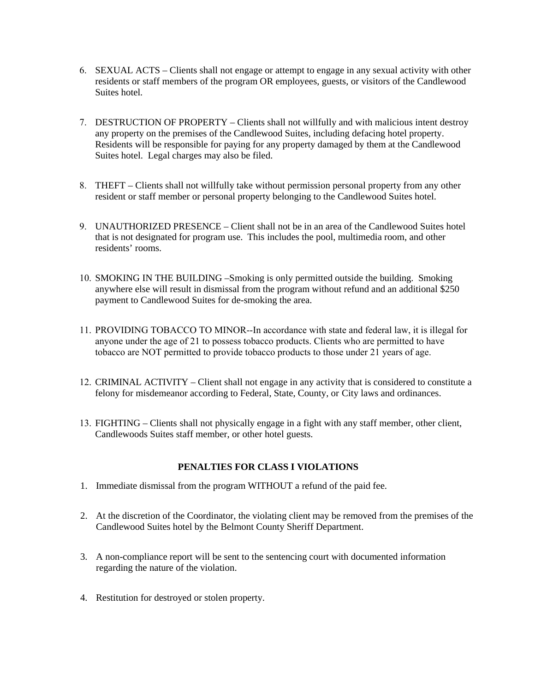- 6. SEXUAL ACTS Clients shall not engage or attempt to engage in any sexual activity with other residents or staff members of the program OR employees, guests, or visitors of the Candlewood Suites hotel.
- 7. DESTRUCTION OF PROPERTY Clients shall not willfully and with malicious intent destroy any property on the premises of the Candlewood Suites, including defacing hotel property. Residents will be responsible for paying for any property damaged by them at the Candlewood Suites hotel. Legal charges may also be filed.
- 8. THEFT Clients shall not willfully take without permission personal property from any other resident or staff member or personal property belonging to the Candlewood Suites hotel.
- 9. UNAUTHORIZED PRESENCE Client shall not be in an area of the Candlewood Suites hotel that is not designated for program use. This includes the pool, multimedia room, and other residents' rooms.
- 10. SMOKING IN THE BUILDING –Smoking is only permitted outside the building. Smoking anywhere else will result in dismissal from the program without refund and an additional \$250 payment to Candlewood Suites for de-smoking the area.
- 11. PROVIDING TOBACCO TO MINOR--In accordance with state and federal law, it is illegal for anyone under the age of 21 to possess tobacco products. Clients who are permitted to have tobacco are NOT permitted to provide tobacco products to those under 21 years of age.
- 12. CRIMINAL ACTIVITY Client shall not engage in any activity that is considered to constitute a felony for misdemeanor according to Federal, State, County, or City laws and ordinances.
- 13. FIGHTING Clients shall not physically engage in a fight with any staff member, other client, Candlewoods Suites staff member, or other hotel guests.

## **PENALTIES FOR CLASS I VIOLATIONS**

- 1. Immediate dismissal from the program WITHOUT a refund of the paid fee.
- 2. At the discretion of the Coordinator, the violating client may be removed from the premises of the Candlewood Suites hotel by the Belmont County Sheriff Department.
- 3. A non-compliance report will be sent to the sentencing court with documented information regarding the nature of the violation.
- 4. Restitution for destroyed or stolen property.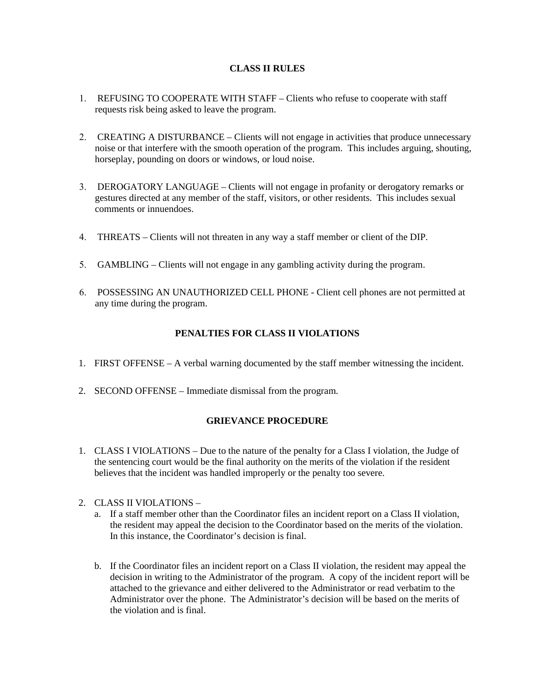#### **CLASS II RULES**

- 1. REFUSING TO COOPERATE WITH STAFF Clients who refuse to cooperate with staff requests risk being asked to leave the program.
- 2. CREATING A DISTURBANCE Clients will not engage in activities that produce unnecessary noise or that interfere with the smooth operation of the program. This includes arguing, shouting, horseplay, pounding on doors or windows, or loud noise.
- 3. DEROGATORY LANGUAGE Clients will not engage in profanity or derogatory remarks or gestures directed at any member of the staff, visitors, or other residents. This includes sexual comments or innuendoes.
- 4. THREATS Clients will not threaten in any way a staff member or client of the DIP.
- 5. GAMBLING Clients will not engage in any gambling activity during the program.
- 6. POSSESSING AN UNAUTHORIZED CELL PHONE Client cell phones are not permitted at any time during the program.

#### **PENALTIES FOR CLASS II VIOLATIONS**

- 1. FIRST OFFENSE A verbal warning documented by the staff member witnessing the incident.
- 2. SECOND OFFENSE Immediate dismissal from the program.

#### **GRIEVANCE PROCEDURE**

- 1. CLASS I VIOLATIONS Due to the nature of the penalty for a Class I violation, the Judge of the sentencing court would be the final authority on the merits of the violation if the resident believes that the incident was handled improperly or the penalty too severe.
- 2. CLASS II VIOLATIONS
	- a. If a staff member other than the Coordinator files an incident report on a Class II violation, the resident may appeal the decision to the Coordinator based on the merits of the violation. In this instance, the Coordinator's decision is final.
	- b. If the Coordinator files an incident report on a Class II violation, the resident may appeal the decision in writing to the Administrator of the program. A copy of the incident report will be attached to the grievance and either delivered to the Administrator or read verbatim to the Administrator over the phone. The Administrator's decision will be based on the merits of the violation and is final.